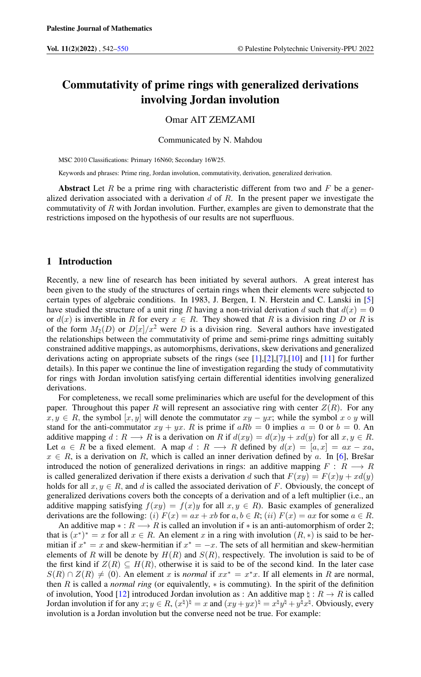# Commutativity of prime rings with generalized derivations involving Jordan involution

## Omar AIT ZEMZAMI

Communicated by N. Mahdou

MSC 2010 Classifications: Primary 16N60; Secondary 16W25.

Keywords and phrases: Prime ring, Jordan involution, commutativity, derivation, generalized derivation.

Abstract Let R be a prime ring with characteristic different from two and F be a generalized derivation associated with a derivation  $d$  of  $R$ . In the present paper we investigate the commutativity of  $R$  with Jordan involution. Further, examples are given to demonstrate that the restrictions imposed on the hypothesis of our results are not superfluous.

### 1 Introduction

Recently, a new line of research has been initiated by several authors. A great interest has been given to the study of the structures of certain rings when their elements were subjected to certain types of algebraic conditions. In 1983, J. Bergen, I. N. Herstein and C. Lanski in [\[5\]](#page-7-1) have studied the structure of a unit ring R having a non-trivial derivation d such that  $d(x) = 0$ or  $d(x)$  is invertible in R for every  $x \in R$ . They showed that R is a division ring D or R is of the form  $M_2(D)$  or  $D[x]/x^2$  were D is a division ring. Several authors have investigated the relationships between the commutativity of prime and semi-prime rings admitting suitably constrained additive mappings, as automorphisms, derivations, skew derivations and generalized derivations acting on appropriate subsets of the rings (see [\[1\]](#page-7-2),[\[2\]](#page-7-3),[\[7\]](#page-7-4),[\[10\]](#page-7-5) and [\[11\]](#page-7-6) for further details). In this paper we continue the line of investigation regarding the study of commutativity for rings with Jordan involution satisfying certain differential identities involving generalized derivations.

For completeness, we recall some preliminaries which are useful for the development of this paper. Throughout this paper R will represent an associative ring with center  $Z(R)$ . For any  $x, y \in R$ , the symbol  $[x, y]$  will denote the commutator  $xy - yx$ ; while the symbol  $x \circ y$  will stand for the anti-commutator  $xy + yx$ . R is prime if  $aRb = 0$  implies  $a = 0$  or  $b = 0$ . An additive mapping  $d : R \longrightarrow R$  is a derivation on R if  $d(xy) = d(x)y + xd(y)$  for all  $x, y \in R$ . Let  $a \in R$  be a fixed element. A map  $d : R \longrightarrow R$  defined by  $d(x) = [a, x] = ax - xa$ ,  $x \in R$ , is a derivation on R, which is called an inner derivation defined by a. In [\[6\]](#page-7-7), Brešar introduced the notion of generalized derivations in rings: an additive mapping  $F: R \longrightarrow R$ is called generalized derivation if there exists a derivation d such that  $F(xy) = F(x)y + xd(y)$ holds for all  $x, y \in R$ , and d is called the associated derivation of F. Obviously, the concept of generalized derivations covers both the concepts of a derivation and of a left multiplier (i.e., an additive mapping satisfying  $f(xy) = f(x)y$  for all  $x, y \in R$ ). Basic examples of generalized derivations are the following: (i)  $F(x) = ax + xb$  for  $a, b \in R$ ; (ii)  $F(x) = ax$  for some  $a \in R$ .

An additive map  $* : R \longrightarrow R$  is called an involution if  $*$  is an anti-automorphism of order 2; that is  $(x^*)^* = x$  for all  $x \in R$ . An element x in a ring with involution  $(R, *)$  is said to be hermitian if  $x^* = x$  and skew-hermitian if  $x^* = -x$ . The sets of all hermitian and skew-hermitian elements of R will be denote by  $H(R)$  and  $S(R)$ , respectively. The involution is said to be of the first kind if  $Z(R) \subseteq H(R)$ , otherwise it is said to be of the second kind. In the later case  $S(R) \cap Z(R) \neq (0)$ . An element x is *normal* if  $xx^* = x^*x$ . If all elements in R are normal, then R is called a *normal ring* (or equivalently,  $*$  is commuting). In the spirit of the definition of involution, Yood [\[12\]](#page-7-8) introduced Jordan involution as : An additive map  $\natural : R \to R$  is called Jordan involution if for any  $x, y \in R$ ,  $(x^{\natural})^{\natural} = x$  and  $(xy + yx)^{\natural} = x^{\natural}y^{\natural} + y^{\natural}x^{\natural}$ . Obviously, every involution is a Jordan involution but the converse need not be true. For example: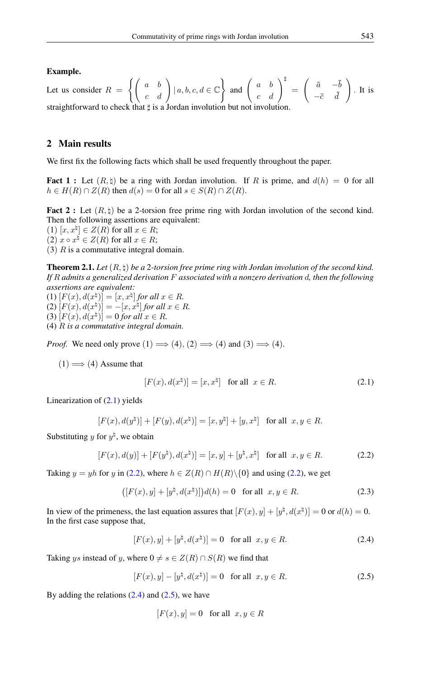#### Example.

Let us consider  $R = \left\{ \left( \begin{array}{cc} a & b \\ c & d \end{array} \right) | a, b, c, d \in \mathbb{C} \right\}$  and  $\left( \begin{array}{cc} a & b \\ c & d \end{array} \right)^{\sharp} =$  $\int \bar{a} -\bar{b}$  $-\bar{c}$   $\bar{d}$  $\setminus$ . It is straightforward to check that  $\sharp$  is a Jordan involution but not involution.

# 2 Main results

We first fix the following facts which shall be used frequently throughout the paper.

**Fact 1**: Let  $(R, \natural)$  be a ring with Jordan involution. If R is prime, and  $d(h) = 0$  for all  $h \in H(R) \cap Z(R)$  then  $d(s) = 0$  for all  $s \in S(R) \cap Z(R)$ .

Fact 2 : Let  $(R, \natural)$  be a 2-torsion free prime ring with Jordan involution of the second kind. Then the following assertions are equivalent:

 $(1)$   $[x, x^{\natural}] \in Z(R)$  for all  $x \in R$ ;

 $(2)$   $x \circ x^{\natural} \in Z(R)$  for all  $x \in R$ ;

(3)  $R$  is a commutative integral domain.

<span id="page-1-4"></span>**Theorem 2.1.** Let  $(R, \natural)$  be a 2-torsion free prime ring with Jordan involution of the second kind. *If* R *admits a generalized derivation* F *associated with a nonzero derivation* d*, then the following assertions are equivalent:*

(1)  $[F(x), d(x^{\natural})] = [x, x^{\natural}]$  *for all*  $x \in R$ *.* (2)  $[F(x), d(x^{\natural})] = -[x, x^{\natural}]$  *for all*  $x \in R$ *.* (3)  $[F(x), d(x^{\natural})] = 0$  *for all*  $x \in R$ *.* 

(4) R *is a commutative integral domain.*

*Proof.* We need only prove  $(1) \implies (4), (2) \implies (4)$  and  $(3) \implies (4)$ .

 $(1) \Longrightarrow (4)$  Assume that

<span id="page-1-1"></span><span id="page-1-0"></span>
$$
[F(x), d(xh)] = [x, xh] \text{ for all } x \in R.
$$
 (2.1)

Linearization of  $(2.1)$  yields

$$
[F(x), d(y\natural)] + [F(y), d(x\natural)] = [x, y\natural] + [y, x\natural] \text{ for all } x, y \in R.
$$

Substituting y for  $y^{\natural}$ , we obtain

$$
[F(x), d(y)] + [F(yh), d(xh)] = [x, y] + [yh, xh] \text{ for all } x, y \in R.
$$
 (2.2)

Taking  $y = yh$  for y in [\(2.2\)](#page-1-1), where  $h \in Z(R) \cap H(R) \setminus \{0\}$  and using (2.2), we get

$$
([F(x), y] + [y\natural, d(x\natural)])d(h) = 0 \text{ for all } x, y \in R.
$$
 (2.3)

In view of the primeness, the last equation assures that  $[F(x), y] + [y^{\natural}, d(x^{\natural})] = 0$  or  $d(h) = 0$ . In the first case suppose that,

<span id="page-1-2"></span>
$$
[F(x), y] + [y^{\natural}, d(x^{\natural})] = 0 \text{ for all } x, y \in R.
$$
 (2.4)

Taking ys instead of y, where  $0 \neq s \in Z(R) \cap S(R)$  we find that

$$
[F(x), y] - [y^{\natural}, d(x^{\natural})] = 0 \text{ for all } x, y \in R.
$$
 (2.5)

By adding the relations  $(2.4)$  and  $(2.5)$ , we have

<span id="page-1-3"></span>
$$
[F(x), y] = 0 \quad \text{for all} \ \ x, y \in R
$$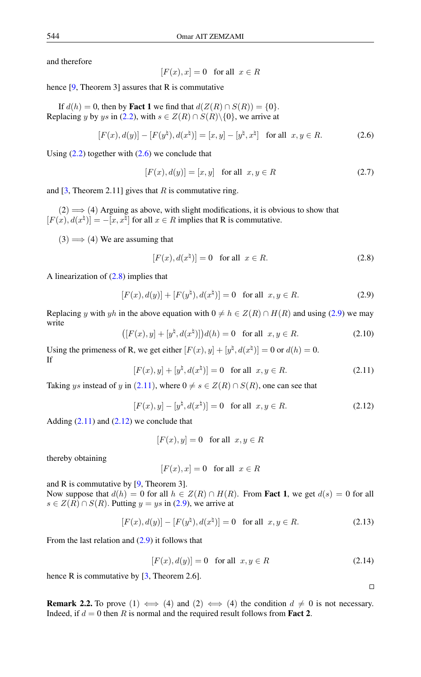and therefore

<span id="page-2-0"></span>
$$
[F(x), x] = 0 \quad \text{for all} \ \ x \in R
$$

hence  $[9,$  Theorem 3] assures that R is commutative

If  $d(h) = 0$ , then by **Fact 1** we find that  $d(Z(R) \cap S(R)) = \{0\}.$ Replacing y by ys in (2.[2\)](#page-1-1), with  $s \in Z(R) \cap S(R) \setminus \{0\}$ , we arrive at

$$
[F(x), d(y)] - [F(yh), d(xh)] = [x, y] - [yh, xh] \text{ for all } x, y \in R.
$$
 (2.6)

Using  $(2.2)$  together with  $(2.6)$  we conclude that

$$
[F(x), d(y)] = [x, y] \quad \text{for all} \ \ x, y \in R \tag{2.7}
$$

and  $[3,$  Theorem 2.11] gives that R is commutative ring.

 $(2) \implies (4)$  Arguing as above, with slight modifications, it is obvious to show that  $[F(x), d(x^{\natural})] = -[x, x^{\natural}]$  for all  $x \in R$  implies that R is commutative.

 $(3) \Longrightarrow (4)$  We are assuming that

<span id="page-2-2"></span><span id="page-2-1"></span>
$$
[F(x), d(xh)] = 0 \quad \text{for all} \quad x \in R. \tag{2.8}
$$

A linearization of  $(2.8)$  implies that

$$
[F(x), d(y)] + [F(yh), d(xh)] = 0 \text{ for all } x, y \in R.
$$
 (2.9)

Replacing y with yh in the above equation with  $0 \neq h \in Z(R) \cap H(R)$  and using [\(2.9\)](#page-2-2) we may write

$$
([F(x), y] + [y\natural, d(x\natural)])d(h) = 0 \text{ for all } x, y \in R.
$$
 (2.10)

<span id="page-2-3"></span>Using the primeness of R, we get either  $[F(x), y] + [y^{\natural}, d(x^{\natural})] = 0$  or  $d(h) = 0$ . If

$$
[F(x), y] + [y^{\natural}, d(x^{\natural})] = 0 \text{ for all } x, y \in R.
$$
 (2.11)

<span id="page-2-4"></span>Taking ys instead of y in (2.[11](#page-2-3)), where  $0 \neq s \in Z(R) \cap S(R)$ , one can see that

$$
[F(x), y] - [y^{\natural}, d(x^{\natural})] = 0 \text{ for all } x, y \in R.
$$
 (2.12)

Adding  $(2.11)$  and  $(2.12)$  we conclude that

$$
[F(x), y] = 0 \quad \text{for all} \ \ x, y \in R
$$

thereby obtaining

$$
[F(x), x] = 0 \quad \text{for all} \ \ x \in R
$$

and R is commutative by [\[9,](#page-7-9) Theorem 3].

Now suppose that  $d(h) = 0$  for all  $h \in Z(R) \cap H(R)$ . From **Fact 1**, we get  $d(s) = 0$  for all  $s \in Z(R) \cap S(R)$ . Putting  $y = ys$  in [\(2](#page-2-2).9), we arrive at

$$
[F(x), d(y)] - [F(y‡), d(x‡)] = 0 \text{ for all } x, y \in R.
$$
 (2.13)

From the last relation and [\(2.9\)](#page-2-2) it follows that

$$
[F(x), d(y)] = 0 \quad \text{for all} \quad x, y \in R \tag{2.14}
$$

hence R is commutative by  $[3,$  Theorem 2.6].

**Remark 2.2.** To prove (1)  $\iff$  (4) and (2)  $\iff$  (4) the condition  $d \neq 0$  is not necessary. Indeed, if  $d = 0$  then R is normal and the required result follows from **Fact 2**.

$$
\Box
$$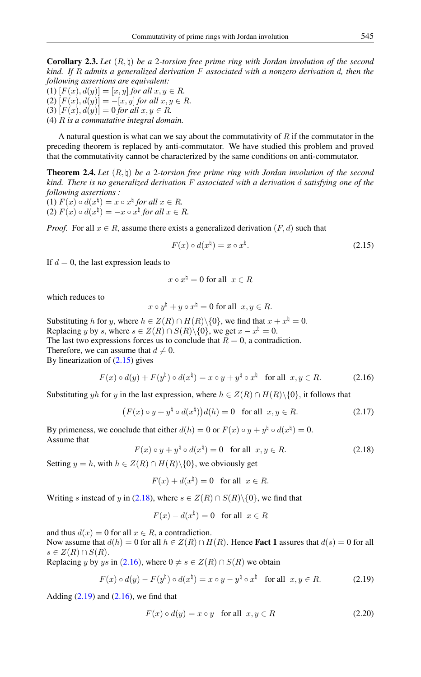Corollary 2.3. *Let* (R, \) *be a* 2*-torsion free prime ring with Jordan involution of the second kind. If* R *admits a generalized derivation* F *associated with a nonzero derivation* d*, then the following assertions are equivalent:*

(1)  $[F(x), d(y)] = [x, y]$  *for all*  $x, y \in R$ *.* (2)  $[F(x), d(y)] = -[x, y]$  *for all*  $x, y \in R$ *.* (3)  $[F(x), d(y)] = 0$  *for all*  $x, y \in R$ *.* (4) R *is a commutative integral domain.*

A natural question is what can we say about the commutativity of  $R$  if the commutator in the preceding theorem is replaced by anti-commutator. We have studied this problem and proved that the commutativity cannot be characterized by the same conditions on anti-commutator.

Theorem 2.4. *Let* (R, \) *be a* 2*-torsion free prime ring with Jordan involution of the second kind. There is no generalized derivation* F *associated with a derivation* d *satisfying one of the following assertions :*

(1)  $F(x) \circ d(x^{\sharp}) = x \circ x^{\sharp}$  *for all*  $x \in R$ *.* (2)  $F(x) \circ d(x^{\dagger}) = -x \circ x^{\dagger}$  for all  $x \in R$ .

*Proof.* For all  $x \in R$ , assume there exists a generalized derivation  $(F, d)$  such that

<span id="page-3-0"></span>
$$
F(x) \circ d(x^{\natural}) = x \circ x^{\natural}.
$$
 (2.15)

If  $d = 0$ , the last expression leads to

$$
x \circ x^{\natural} = 0 \text{ for all } x \in R
$$

which reduces to

<span id="page-3-2"></span>
$$
x \circ y^{\natural} + y \circ x^{\natural} = 0 \text{ for all } x, y \in R.
$$

Substituting h for y, where  $h \in Z(R) \cap H(R) \setminus \{0\}$ , we find that  $x + x^{\natural} = 0$ . Replacing y by s, where  $s \in Z(R) \cap S(R) \setminus \{0\}$ , we get  $x - x^{\natural} = 0$ . The last two expressions forces us to conclude that  $R = 0$ , a contradiction. Therefore, we can assume that  $d \neq 0$ . By linearization of  $(2.15)$  gives

$$
F(x) \circ d(y) + F(y^{\natural}) \circ d(x^{\natural}) = x \circ y + y^{\natural} \circ x^{\natural} \quad \text{for all} \ \ x, y \in R. \tag{2.16}
$$

Substituting yh for y in the last expression, where  $h \in Z(R) \cap H(R) \setminus \{0\}$ , it follows that

<span id="page-3-1"></span>
$$
(F(x) \circ y + y^{\natural} \circ d(x^{\natural}))d(h) = 0 \quad \text{for all} \ \ x, y \in R. \tag{2.17}
$$

By primeness, we conclude that either  $d(h) = 0$  or  $F(x) \circ y + y^{\natural} \circ d(x^{\natural}) = 0$ . Assume that

$$
F(x) \circ y + y^{\natural} \circ d(x^{\natural}) = 0 \quad \text{for all} \ \ x, y \in R. \tag{2.18}
$$

Setting  $y = h$ , with  $h \in Z(R) \cap H(R) \setminus \{0\}$ , we obviously get

$$
F(x) + d(x^{\natural}) = 0 \quad \text{for all} \ \ x \in R.
$$

Writing s instead of y in [\(2.18\)](#page-3-1), where  $s \in Z(R) \cap S(R) \setminus \{0\}$ , we find that

<span id="page-3-3"></span>
$$
F(x) - d(x^{\natural}) = 0 \quad \text{for all} \ \ x \in R
$$

and thus  $d(x) = 0$  for all  $x \in R$ , a contradiction.

Now assume that  $d(h) = 0$  for all  $h \in Z(R) \cap H(R)$ . Hence **Fact 1** assures that  $d(s) = 0$  for all  $s \in Z(R) \cap S(R)$ .

Replacing y by ys in (2.[16](#page-3-2)), where  $0 \neq s \in Z(R) \cap S(R)$  we obtain

$$
F(x) \circ d(y) - F(y^{\natural}) \circ d(x^{\natural}) = x \circ y - y^{\natural} \circ x^{\natural} \quad \text{for all} \ \ x, y \in R. \tag{2.19}
$$

Adding  $(2.19)$  and  $(2.16)$ , we find that

$$
F(x) \circ d(y) = x \circ y \quad \text{for all} \quad x, y \in R \tag{2.20}
$$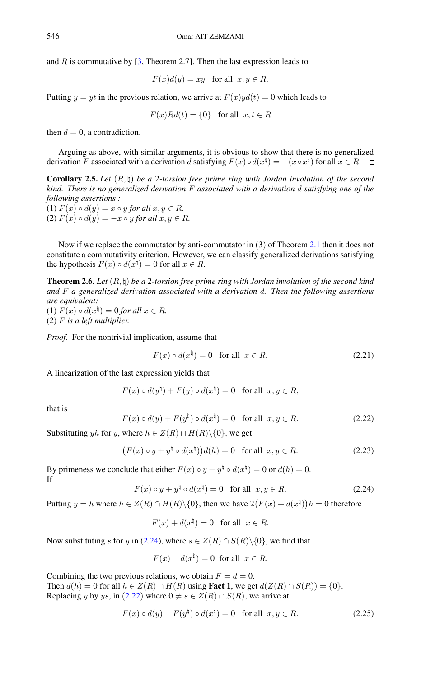and R is commutative by  $[3,$  Theorem 2.7]. Then the last expression leads to

$$
F(x)d(y) = xy \text{ for all } x, y \in R.
$$

Putting  $y = yt$  in the previous relation, we arrive at  $F(x)yd(t) = 0$  which leads to

$$
F(x)Rd(t) = \{0\} \text{ for all } x, t \in R
$$

then  $d = 0$ , a contradiction.

Arguing as above, with similar arguments, it is obvious to show that there is no generalized derivation F associated with a derivation d satisfying  $F(x) \circ d(x^{\natural}) = -(x \circ x^{\natural})$  for all  $x \in R$ .

**Corollary 2.5.** Let  $(R, \nmid)$  be a 2-torsion free prime ring with Jordan involution of the second *kind. There is no generalized derivation* F *associated with a derivation* d *satisfying one of the following assertions :* (1)  $F(x) \circ d(y) = x \circ y$  *for all*  $x, y \in R$ *.* 

(2)  $F(x) \circ d(y) = -x \circ y$  *for all*  $x, y \in R$ .

Now if we replace the commutator by anti-commutator in (3) of Theorem [2.1](#page-1-4) then it does not constitute a commutativity criterion. However, we can classify generalized derivations satisfying the hypothesis  $F(x) \circ d(x^{\natural}) = 0$  for all  $x \in R$ .

<span id="page-4-2"></span>Theorem 2.6. *Let* (R, \) *be a* 2*-torsion free prime ring with Jordan involution of the second kind and* F *a generalized derivation associated with a derivation* d*. Then the following assertions are equivalent:* (1)  $F(x) \circ d(x^{\natural}) = 0$  *for all*  $x \in R$ *.* (2) F *is a left multiplier.*

*Proof.* For the nontrivial implication, assume that

$$
F(x) \circ d(x^{\natural}) = 0 \quad \text{for all} \quad x \in R. \tag{2.21}
$$

A linearization of the last expression yields that

$$
F(x) \circ d(y^{\natural}) + F(y) \circ d(x^{\natural}) = 0 \text{ for all } x, y \in R,
$$

<span id="page-4-1"></span>that is

$$
F(x) \circ d(y) + F(y^{\natural}) \circ d(x^{\natural}) = 0 \quad \text{for all} \ \ x, y \in R. \tag{2.22}
$$

Substituting yh for y, where  $h \in Z(R) \cap H(R) \setminus \{0\}$ , we get

$$
(F(x) \circ y + y^{\natural} \circ d(x^{\natural}))d(h) = 0 \quad \text{for all} \ \ x, y \in R. \tag{2.23}
$$

<span id="page-4-0"></span>By primeness we conclude that either  $F(x) \circ y + y^{\natural} \circ d(x^{\natural}) = 0$  or  $d(h) = 0$ . If

$$
F(x) \circ y + y^{\natural} \circ d(x^{\natural}) = 0 \quad \text{for all} \ \ x, y \in R. \tag{2.24}
$$

Putting  $y = h$  where  $h \in Z(R) \cap H(R) \setminus \{0\}$ , then we have  $2(F(x) + d(x^{\natural}))h = 0$  therefore

$$
F(x) + d(x^{\natural}) = 0 \quad \text{for all} \ \ x \in R.
$$

Now substituting s for y in [\(2.24\)](#page-4-0), where  $s \in Z(R) \cap S(R) \setminus \{0\}$ , we find that

$$
F(x) - d(x^{\natural}) = 0 \text{ for all } x \in R.
$$

Combining the two previous relations, we obtain  $F = d = 0$ .

Then  $d(h) = 0$  for all  $h \in Z(R) \cap H(R)$  using **Fact 1**, we get  $d(Z(R) \cap S(R)) = \{0\}.$ Replacing y by ys, in (2.[22](#page-4-1)) where  $0 \neq s \in Z(R) \cap S(R)$ , we arrive at

$$
F(x) \circ d(y) - F(y^{\natural}) \circ d(x^{\natural}) = 0 \quad \text{for all} \ \ x, y \in R. \tag{2.25}
$$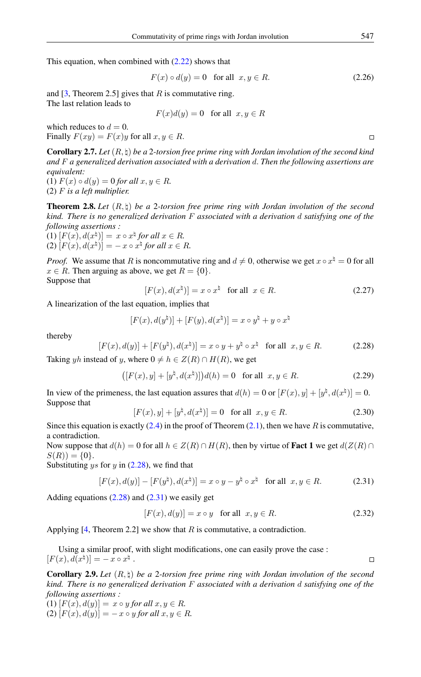This equation, when combined with  $(2.22)$  shows that

$$
F(x) \circ d(y) = 0 \quad \text{for all} \quad x, y \in R. \tag{2.26}
$$

and  $[3,$  Theorem 2.5] gives that R is commutative ring. The last relation leads to

 $F(x)d(y) = 0$  for all  $x, y \in R$ 

which reduces to  $d = 0$ . Finally  $F(xy) = F(x)y$  for all  $x, y \in R$ .

Corollary 2.7. *Let* (R, \) *be a* 2*-torsion free prime ring with Jordan involution of the second kind and* F *a generalized derivation associated with a derivation* d. *Then the following assertions are equivalent:*

(1)  $F(x) \circ d(y) = 0$  *for all*  $x, y \in R$ *.* (2) F *is a left multiplier.*

Theorem 2.8. *Let* (R, \) *be a* 2*-torsion free prime ring with Jordan involution of the second kind. There is no generalized derivation* F *associated with a derivation* d *satisfying one of the following assertions :*  $(1)$   $[F(x), d(x^{\natural})] = x \circ x^{\natural}$  *for all*  $x \in R$ *.* 

 $(2)$   $[F(x), d(x^{\natural})] = -x \circ x^{\natural}$  *for all*  $x \in R$ *.* 

*Proof.* We assume that R is noncommutative ring and  $d \neq 0$ , otherwise we get  $x \circ x^{\sharp} = 0$  for all  $x \in R$ . Then arguing as above, we get  $R = \{0\}$ . Suppose that

$$
[F(x), d(x‡)] = x \circ x‡ \text{ for all } x \in R. \tag{2.27}
$$

A linearization of the last equation, implies that

$$
[F(x), d(y^{\natural})] + [F(y), d(x^{\natural})] = x \circ y^{\natural} + y \circ x^{\natural}
$$

thereby

<span id="page-5-0"></span>
$$
[F(x), d(y)] + [F(y\natural), d(x\natural)] = x \circ y + y\natural \circ x\natural \text{ for all } x, y \in R.
$$
 (2.28)

Taking yh instead of y, where  $0 \neq h \in Z(R) \cap H(R)$ , we get

$$
([F(x), y] + [y‡, d(x‡)]d(h) = 0 \text{ for all } x, y \in R.
$$
 (2.29)

In view of the primeness, the last equation assures that  $d(h) = 0$  or  $[F(x), y] + [y^{\natural}, d(x^{\natural})] = 0$ . Suppose that

$$
[F(x), y] + [y^{\natural}, d(x^{\natural})] = 0 \text{ for all } x, y \in R.
$$
 (2.30)

Since this equation is exactly  $(2.4)$  in the proof of Theorem  $(2.1)$ , then we have R is commutative, a contradiction.

Now suppose that  $d(h) = 0$  for all  $h \in Z(R) \cap H(R)$ , then by virtue of **Fact 1** we get  $d(Z(R) \cap H(R))$  $S(R)$  = {0}.

Substituting ys for y in  $(2.28)$  $(2.28)$ , we find that

$$
[F(x), d(y)] - [F(yh), d(xh)] = x \circ y - yh \circ xh \text{ for all } x, y \in R. \tag{2.31}
$$

Adding equations  $(2.28)$  and  $(2.31)$  we easily get

<span id="page-5-1"></span>
$$
[F(x), d(y)] = x \circ y \quad \text{for all} \quad x, y \in R. \tag{2.32}
$$

Applying  $[4,$  Theorem 2.2] we show that R is commutative, a contradiction.

Using a similar proof, with slight modifications, one can easily prove the case :  $[F(x), d(x^{\natural})] = -x \circ x^{\natural}.$ 

Corollary 2.9. *Let* (R, \) *be a* 2*-torsion free prime ring with Jordan involution of the second kind. There is no generalized derivation* F *associated with a derivation* d *satisfying one of the following assertions :*

(1)  $[F(x), d(y)] = x \circ y$  *for all*  $x, y \in R$ *.*  $(2)$   $[F(x), d(y)] = -x \circ y$  *for all*  $x, y \in R$ *.*   $\Box$ 

 $\Box$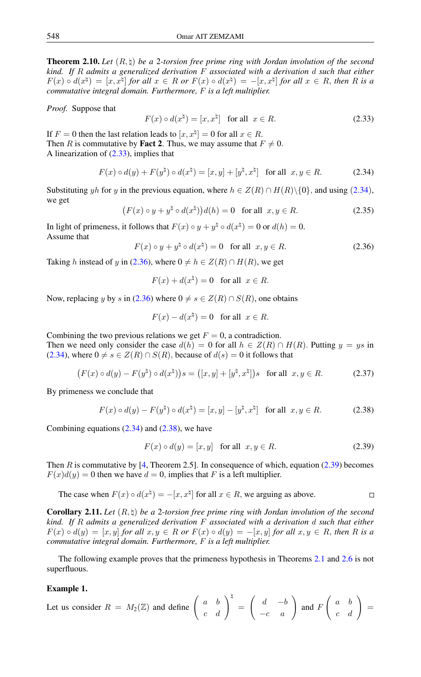<span id="page-6-5"></span>**Theorem 2.10.** Let  $(R, \natural)$  be a 2-torsion free prime ring with Jordan involution of the second *kind. If* R *admits a generalized derivation* F *associated with a derivation* d *such that either*  $F(x) \circ d(x^{\natural}) = [x, x^{\natural}]$  for all  $x \in R$  or  $F(x) \circ d(x^{\natural}) = -[x, x^{\natural}]$  for all  $x \in R$ , then R is a *commutative integral domain. Furthermore,* F *is a left multiplier.*

*Proof.* Suppose that

<span id="page-6-1"></span><span id="page-6-0"></span>
$$
F(x) \circ d(x^{\natural}) = [x, x^{\natural}] \text{ for all } x \in R.
$$
 (2.33)

If  $F = 0$  then the last relation leads to  $[x, x^{\sharp}] = 0$  for all  $x \in R$ . Then R is commutative by **Fact 2**. Thus, we may assume that  $F \neq 0$ . A linearization of [\(2.33\)](#page-6-0), implies that

$$
F(x) \circ d(y) + F(y^{\natural}) \circ d(x^{\natural}) = [x, y] + [y^{\natural}, x^{\natural}] \text{ for all } x, y \in R.
$$
 (2.34)

Substituting yh for y in the previous equation, where  $h \in Z(R) \cap H(R) \setminus \{0\}$ , and using (2.[34](#page-6-1)), we get

<span id="page-6-2"></span>
$$
(F(x) \circ y + y^{\natural} \circ d(x^{\natural}))d(h) = 0 \quad \text{for all} \ \ x, y \in R. \tag{2.35}
$$

In light of primeness, it follows that  $F(x) \circ y + y^{\natural} \circ d(x^{\natural}) = 0$  or  $d(h) = 0$ . Assume that

$$
F(x) \circ y + y^{\natural} \circ d(x^{\natural}) = 0 \quad \text{for all} \ \ x, y \in R. \tag{2.36}
$$

Taking h instead of y in [\(2.36\)](#page-6-2), where  $0 \neq h \in Z(R) \cap H(R)$ , we get

$$
F(x) + d(x^{\natural}) = 0 \quad \text{for all} \ \ x \in R.
$$

Now, replacing y by s in [\(2.36\)](#page-6-2) where  $0 \neq s \in Z(R) \cap S(R)$ , one obtains

$$
F(x) - d(x^{\natural}) = 0 \quad \text{for all} \ \ x \in R.
$$

Combining the two previous relations we get  $F = 0$ , a contradiction. Then we need only consider the case  $d(h) = 0$  for all  $h \in Z(R) \cap H(R)$ . Putting  $y = ys$  in [\(2.34\)](#page-6-1), where  $0 \neq s \in Z(R) \cap S(R)$ , because of  $d(s) = 0$  it follows that

$$
(F(x) \circ d(y) - F(y^{\natural}) \circ d(x^{\natural}))s = ([x, y] + [y^{\natural}, x^{\natural}])s \text{ for all } x, y \in R. \tag{2.37}
$$

By primeness we conclude that

$$
F(x) \circ d(y) - F(y^{\natural}) \circ d(x^{\natural}) = [x, y] - [y^{\natural}, x^{\natural}] \text{ for all } x, y \in R.
$$
 (2.38)

Combining equations  $(2.34)$  and  $(2.38)$ , we have

<span id="page-6-4"></span><span id="page-6-3"></span>
$$
F(x) \circ d(y) = [x, y] \quad \text{for all} \ \ x, y \in R. \tag{2.39}
$$

Then  $R$  is commutative by  $[4,$  Theorem 2.5]. In consequence of which, equation [\(2.39\)](#page-6-4) becomes  $F(x)d(y) = 0$  then we have  $d = 0$ , implies that F is a left multiplier.

The case when 
$$
F(x) \circ d(x^{\natural}) = -[x, x^{\natural}]
$$
 for all  $x \in R$ , we arguing as above.

Corollary 2.11. *Let* (R, \) *be a* 2*-torsion free prime ring with Jordan involution of the second kind. If* R *admits a generalized derivation* F *associated with a derivation* d *such that either*  $F(x) \circ d(y) = [x, y]$  *for all*  $x, y \in R$  *or*  $F(x) \circ d(y) = -[x, y]$  *for all*  $x, y \in R$ *, then* R is a *commutative integral domain. Furthermore,* F *is a left multiplier.*

The following example proves that the primeness hypothesis in Theorems [2.1](#page-1-4) and [2.6](#page-4-2) is not superfluous.

### Example 1.

Let us consider  $R = M_2(\mathbb{Z})$  and define  $\begin{pmatrix} a & b \\ c & d \end{pmatrix}^{\dagger} =$  $\left(\begin{array}{cc} d & -b \\ -c & a \end{array}\right)$  and F  $\left(\begin{array}{cc} a & b \\ c & d \end{array}\right)$  =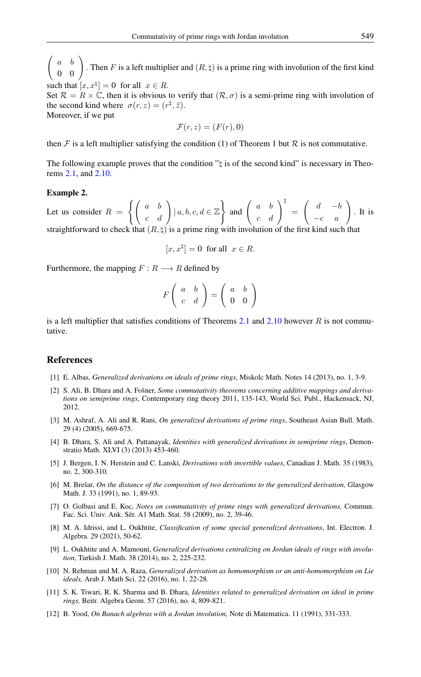$\sqrt{ }$ a b  $\left(\begin{array}{cc} a & b \ 0 & 0 \end{array}\right)$ . Then F is a left multiplier and  $(R, \natural)$  is a prime ring with involution of the first kind such that  $[x, x^{\natural}] = 0$  for all  $x \in R$ .

Set  $\mathcal{R} = R \times \mathbb{C}$ , then it is obvious to verify that  $(\mathcal{R}, \sigma)$  is a semi-prime ring with involution of the second kind where  $\sigma(r, z) = (r^{\natural}, \bar{z}).$ Moreover, if we put

$$
\mathcal{F}(r,z)=(F(r),0)
$$

then F is a left multiplier satisfying the condition (1) of Theorem 1 but R is not commutative.

The following example proves that the condition  $\gamma$  is of the second kind" is necessary in Theorems [2.1,](#page-1-4) and [2.10.](#page-6-5)

#### Example 2.

Let us consider  $R = \left\{ \left( \begin{array}{cc} a & b \\ c & d \end{array} \right) | a, b, c, d \in \mathbb{Z} \right\}$  and  $\left( \begin{array}{cc} a & b \\ c & d \end{array} \right)^{\frac{1}{2}} =$  $\left(\begin{array}{cc} d & -b \\ -c & a \end{array}\right)$ . It is straightforward to check that  $(R, \natural)$  is a prime ring with involution of the first kind such that

$$
[x, x^{\natural}] = 0 \text{ for all } x \in R.
$$

Furthermore, the mapping  $F: R \longrightarrow R$  defined by

$$
F\left(\begin{array}{cc}a&b\\c&d\end{array}\right)=\left(\begin{array}{cc}a&b\\0&0\end{array}\right)
$$

is a left multiplier that satisfies conditions of Theorems [2.1](#page-1-4) and [2.10](#page-6-5) however  $R$  is not commutative.

### <span id="page-7-0"></span>References

- <span id="page-7-2"></span>[1] E. Albas, *Generalized derivations on ideals of prime rings*, Miskolc Math. Notes 14 (2013), no. 1, 3-9.
- <span id="page-7-3"></span>[2] S. Ali, B. Dhara and A. Fošner, *Some commutativity theorems concerning additive mappings and derivations on semiprime rings*, Contemporary ring theory 2011, 135-143, World Sci. Publ., Hackensack, NJ, 2012.
- <span id="page-7-10"></span>[3] M. Ashraf, A. Ali and R. Rani, *On generalized derivations of prime rings*, Southeast Asian Bull. Math. 29 (4) (2005), 669-675.
- <span id="page-7-11"></span>[4] B. Dhara, S. Ali and A. Pattanayak, *Identities with generalized derivations in semiprime rings*, Demonstratio Math. XLVI (3) (2013) 453-460.
- <span id="page-7-1"></span>[5] J. Bergen, I. N. Herstein and C. Lanski, *Derivations with invertible values*, Canadian J. Math. 35 (1983), no. 2, 300-310.
- <span id="page-7-7"></span>[6] M. Brešar, *On the distance of the composition of two derivations to the generalized derivation,* Glasgow Math. J. 33 (1991), no. 1, 89-93.
- <span id="page-7-4"></span>[7] O. Golbasi and E. Koc, *Notes on commutativity of prime rings with generalized derivations,* Commun. Fac. Sci. Univ. Ank. Sér. A1 Math. Stat. 58 (2009), no. 2, 39-46.
- [8] M. A. Idrissi, and L. Oukhtite, *Classification of some special generalized derivations*, Int. Electron. J. Algebra. 29 (2021), 50-62.
- <span id="page-7-9"></span>[9] L. Oukhtite and A. Mamouni, *Generalized derivations centralizing on Jordan ideals of rings with involution*, Turkish J. Math. 38 (2014), no. 2, 225-232.
- <span id="page-7-5"></span>[10] N. Rehman and M. A. Raza, *Generalized derivation as homomorphism or an anti-homomorphism on Lie ideals,* Arab J. Math Sci. 22 (2016), no. 1, 22-28.
- <span id="page-7-6"></span>[11] S. K. Tiwari, R. K. Sharma and B. Dhara, *Identities related to generalized derivation on ideal in prime rings,* Beitr. Algebra Geom. 57 (2016), no. 4, 809-821.
- <span id="page-7-8"></span>[12] B. Yood, *On Banach algebras with a Jordan involution,* Note di Matematica. 11 (1991), 331-333.